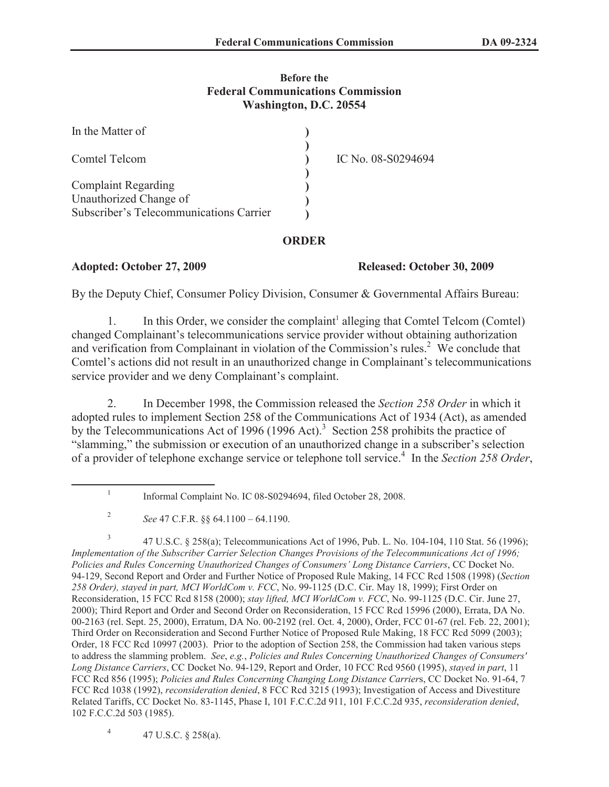## **Before the Federal Communications Commission Washington, D.C. 20554**

| In the Matter of                        |                    |
|-----------------------------------------|--------------------|
| Comtel Telcom                           | IC No. 08-S0294694 |
|                                         |                    |
| <b>Complaint Regarding</b>              |                    |
| Unauthorized Change of                  |                    |
| Subscriber's Telecommunications Carrier |                    |

## **ORDER**

**Adopted: October 27, 2009 Released: October 30, 2009**

By the Deputy Chief, Consumer Policy Division, Consumer & Governmental Affairs Bureau:

1. In this Order, we consider the complaint<sup>1</sup> alleging that Comtel Telcom (Comtel) changed Complainant's telecommunications service provider without obtaining authorization and verification from Complainant in violation of the Commission's rules.<sup>2</sup> We conclude that Comtel's actions did not result in an unauthorized change in Complainant's telecommunications service provider and we deny Complainant's complaint.

2. In December 1998, the Commission released the *Section 258 Order* in which it adopted rules to implement Section 258 of the Communications Act of 1934 (Act), as amended by the Telecommunications Act of 1996 (1996 Act).<sup>3</sup> Section 258 prohibits the practice of "slamming," the submission or execution of an unauthorized change in a subscriber's selection of a provider of telephone exchange service or telephone toll service.<sup>4</sup> In the *Section 258 Order*,

4 47 U.S.C. § 258(a).

<sup>1</sup> Informal Complaint No. IC 08-S0294694, filed October 28, 2008.

<sup>2</sup> *See* 47 C.F.R. §§ 64.1100 – 64.1190.

<sup>3</sup> 47 U.S.C. § 258(a); Telecommunications Act of 1996, Pub. L. No. 104-104, 110 Stat. 56 (1996); *Implementation of the Subscriber Carrier Selection Changes Provisions of the Telecommunications Act of 1996; Policies and Rules Concerning Unauthorized Changes of Consumers' Long Distance Carriers*, CC Docket No. 94-129, Second Report and Order and Further Notice of Proposed Rule Making, 14 FCC Rcd 1508 (1998) (*Section 258 Order), stayed in part, MCI WorldCom v. FCC*, No. 99-1125 (D.C. Cir. May 18, 1999); First Order on Reconsideration, 15 FCC Rcd 8158 (2000); *stay lifted, MCI WorldCom v. FCC*, No. 99-1125 (D.C. Cir. June 27, 2000); Third Report and Order and Second Order on Reconsideration, 15 FCC Rcd 15996 (2000), Errata, DA No. 00-2163 (rel. Sept. 25, 2000), Erratum, DA No. 00-2192 (rel. Oct. 4, 2000), Order, FCC 01-67 (rel. Feb. 22, 2001); Third Order on Reconsideration and Second Further Notice of Proposed Rule Making, 18 FCC Rcd 5099 (2003); Order, 18 FCC Rcd 10997 (2003). Prior to the adoption of Section 258, the Commission had taken various steps to address the slamming problem. *See*, *e.g.*, *Policies and Rules Concerning Unauthorized Changes of Consumers' Long Distance Carriers*, CC Docket No. 94-129, Report and Order, 10 FCC Rcd 9560 (1995), *stayed in part*, 11 FCC Rcd 856 (1995); *Policies and Rules Concerning Changing Long Distance Carrier*s, CC Docket No. 91-64, 7 FCC Rcd 1038 (1992), *reconsideration denied*, 8 FCC Rcd 3215 (1993); Investigation of Access and Divestiture Related Tariffs, CC Docket No. 83-1145, Phase I, 101 F.C.C.2d 911, 101 F.C.C.2d 935, *reconsideration denied*, 102 F.C.C.2d 503 (1985).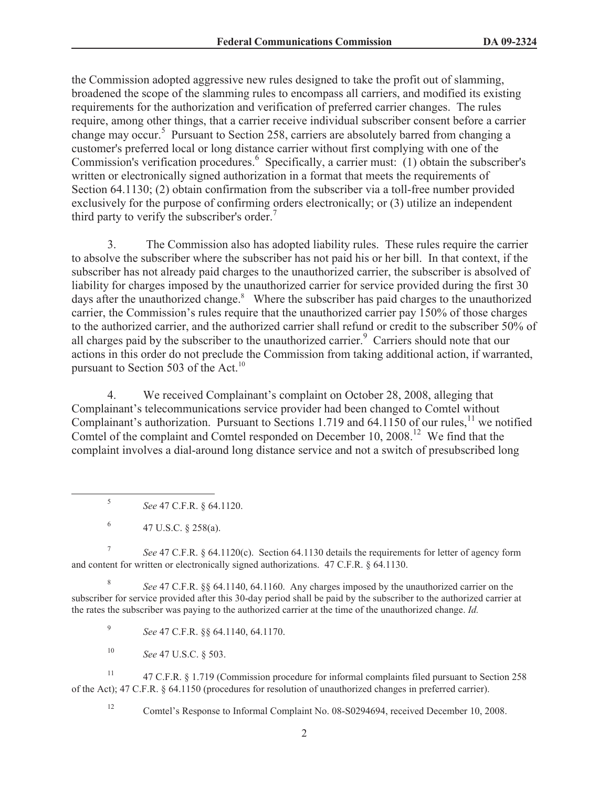the Commission adopted aggressive new rules designed to take the profit out of slamming, broadened the scope of the slamming rules to encompass all carriers, and modified its existing requirements for the authorization and verification of preferred carrier changes. The rules require, among other things, that a carrier receive individual subscriber consent before a carrier change may occur.<sup>5</sup> Pursuant to Section 258, carriers are absolutely barred from changing a customer's preferred local or long distance carrier without first complying with one of the Commission's verification procedures.<sup>6</sup> Specifically, a carrier must: (1) obtain the subscriber's written or electronically signed authorization in a format that meets the requirements of Section 64.1130; (2) obtain confirmation from the subscriber via a toll-free number provided exclusively for the purpose of confirming orders electronically; or (3) utilize an independent third party to verify the subscriber's order.<sup>7</sup>

3. The Commission also has adopted liability rules. These rules require the carrier to absolve the subscriber where the subscriber has not paid his or her bill. In that context, if the subscriber has not already paid charges to the unauthorized carrier, the subscriber is absolved of liability for charges imposed by the unauthorized carrier for service provided during the first 30 days after the unauthorized change.<sup>8</sup> Where the subscriber has paid charges to the unauthorized carrier, the Commission's rules require that the unauthorized carrier pay 150% of those charges to the authorized carrier, and the authorized carrier shall refund or credit to the subscriber 50% of all charges paid by the subscriber to the unauthorized carrier.<sup>9</sup> Carriers should note that our actions in this order do not preclude the Commission from taking additional action, if warranted, pursuant to Section 503 of the Act.<sup>10</sup>

4. We received Complainant's complaint on October 28, 2008, alleging that Complainant's telecommunications service provider had been changed to Comtel without Complainant's authorization. Pursuant to Sections 1.719 and  $64.1150$  of our rules,<sup>11</sup> we notified Comtel of the complaint and Comtel responded on December 10, 2008.<sup>12</sup> We find that the complaint involves a dial-around long distance service and not a switch of presubscribed long

7 *See* 47 C.F.R. § 64.1120(c). Section 64.1130 details the requirements for letter of agency form and content for written or electronically signed authorizations. 47 C.F.R. § 64.1130.

8 *See* 47 C.F.R. §§ 64.1140, 64.1160. Any charges imposed by the unauthorized carrier on the subscriber for service provided after this 30-day period shall be paid by the subscriber to the authorized carrier at the rates the subscriber was paying to the authorized carrier at the time of the unauthorized change. *Id.*

9 *See* 47 C.F.R. §§ 64.1140, 64.1170.

<sup>10</sup> *See* 47 U.S.C. § 503.

<sup>11</sup> 47 C.F.R. § 1.719 (Commission procedure for informal complaints filed pursuant to Section 258 of the Act); 47 C.F.R. § 64.1150 (procedures for resolution of unauthorized changes in preferred carrier).

<sup>12</sup> Comtel's Response to Informal Complaint No. 08-S0294694, received December 10, 2008.

<sup>5</sup> *See* 47 C.F.R. § 64.1120.

<sup>6</sup> 47 U.S.C. § 258(a).